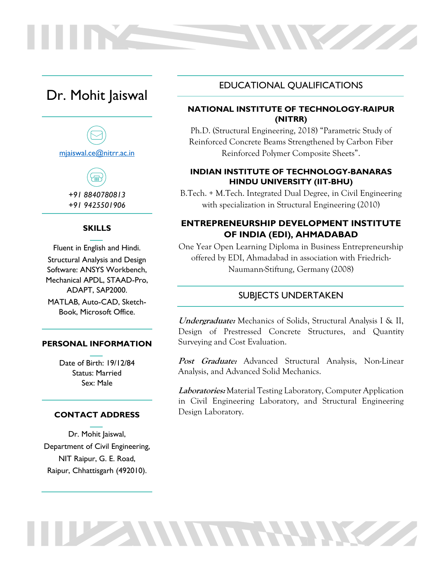# Dr. Mohit Jaiswal





#### **SKILLS**

Fluent in English and Hindi. Structural Analysis and Design Software: ANSYS Workbench, Mechanical APDL, STAAD-Pro, ADAPT, SAP2000. MATLAB, Auto-CAD, Sketch-Book, Microsoft Office.

#### **PERSONAL INFORMATION**

Date of Birth: 19/12/84 Status: Married Sex: Male

#### **CONTACT ADDRESS**

Dr. Mohit Jaiswal, Department of Civil Engineering, NIT Raipur, G. E. Road, Raipur, Chhattisgarh (492010).

## EDUCATIONAL QUALIFICATIONS

**NVIII** 

### **NATIONAL INSTITUTE OF TECHNOLOGY-RAIPUR (NITRR)**

Ph.D. (Structural Engineering, 2018) "Parametric Study of Reinforced Concrete Beams Strengthened by Carbon Fiber Reinforced Polymer Composite Sheets".

#### **INDIAN INSTITUTE OF TECHNOLOGY-BANARAS HINDU UNIVERSITY (IIT-BHU)**

B.Tech. + M.Tech. Integrated Dual Degree, in Civil Engineering with specialization in Structural Engineering (2010)

### **ENTREPRENEURSHIP DEVELOPMENT INSTITUTE OF INDIA (EDI), AHMADABAD**

One Year Open Learning Diploma in Business Entrepreneurship offered by EDI, Ahmadabad in association with Friedrich-Naumann-Stiftung, Germany (2008)

#### SUBJECTS UNDERTAKEN

**Undergraduate:** Mechanics of Solids, Structural Analysis I & II, Design of Prestressed Concrete Structures, and Quantity Surveying and Cost Evaluation.

**Post Graduate:** Advanced Structural Analysis, Non-Linear Analysis, and Advanced Solid Mechanics.

**Laboratories:** Material Testing Laboratory, Computer Application in Civil Engineering Laboratory, and Structural Engineering Design Laboratory.

THE SAMMON HANKS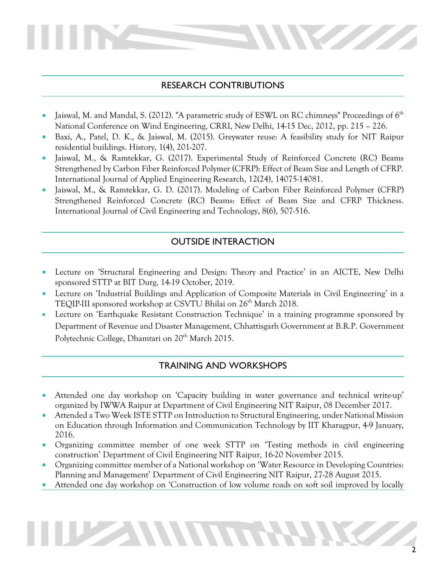# RESEARCH CONTRIBUTIONS

- Jaiswal, M. and Mandal, S. (2012). "A parametric study of ESWL on RC chimneys" Proceedings of 6<sup>th</sup> National Conference on Wind Engineering, CRRI, New Delhi, 14-15 Dec, 2012, pp. 215 – 226.
- Baxi, A., Patel, D. K., & Jaiswal, M. (2015). Greywater reuse: A feasibility study for NIT Raipur residential buildings. History, 1(4), 201-207.
- Jaiswal, M., & Ramtekkar, G. (2017). Experimental Study of Reinforced Concrete (RC) Beams Strengthened by Carbon Fiber Reinforced Polymer (CFRP): Effect of Beam Size and Length of CFRP. International Journal of Applied Engineering Research, 12(24), 14075-14081.
- Jaiswal, M., & Ramtekkar, G. D. (2017). Modeling of Carbon Fiber Reinforced Polymer (CFRP) Strengthened Reinforced Concrete (RC) Beams: Effect of Beam Size and CFRP Thickness. International Journal of Civil Engineering and Technology, 8(6), 507-516.

## OUTSIDE INTERACTION

- Lecture on 'Structural Engineering and Design: Theory and Practice' in an AICTE, New Delhi sponsored STTP at BIT Durg, 14-19 October, 2019.
- Lecture on 'Industrial Buildings and Application of Composite Materials in Civil Engineering' in a TEQIP-III sponsored workshop at CSVTU Bhilai on 26<sup>th</sup> March 2018.
- Lecture on 'Earthquake Resistant Construction Technique' in a training programme sponsored by Department of Revenue and Disaster Management, Chhattisgarh Government at B.R.P. Government Polytechnic College, Dhamtari on 20<sup>th</sup> March 2015.

## TRAINING AND WORKSHOPS

- Attended one day workshop on 'Capacity building in water governance and technical write-up' organized by IWWA Raipur at Department of Civil Engineering NIT Raipur, 08 December 2017.
- Attended a Two Week ISTE STTP on Introduction to Structural Engineering, under National Mission on Education through Information and Communication Technology by IIT Kharagpur, 4-9 January, 2016.
- Organizing committee member of one week STTP on 'Testing methods in civil engineering construction' Department of Civil Engineering NIT Raipur, 16-20 November 2015.
- Organizing committee member of a National workshop on 'Water Resource in Developing Countries: Planning and Management' Department of Civil Engineering NIT Raipur, 27-28 August 2015.
- Attended one day workshop on 'Construction of low volume roads on soft soil improved by locally

**THE MINIMUM RAMANESS**